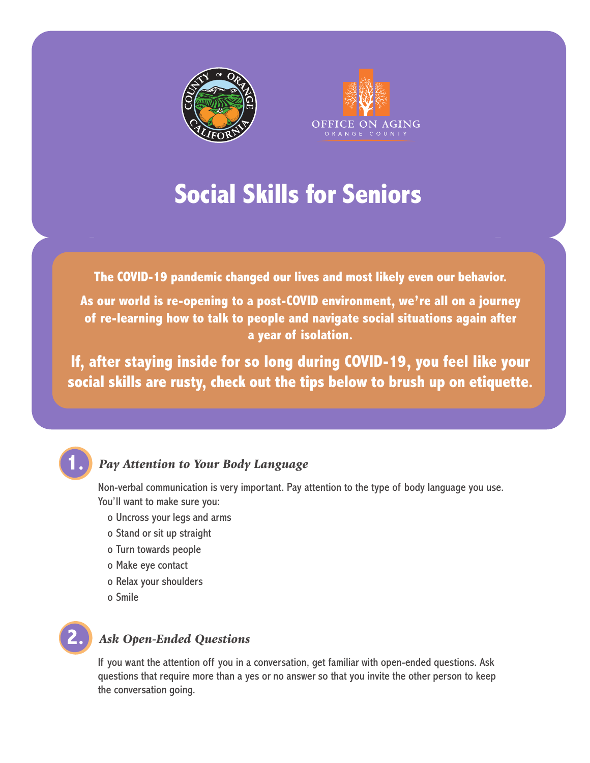



# **Social Skills for Seniors**

**The COVID-19 pandemic changed our lives and most likely even our behavior.**

**As our world is re-opening to a post-COVID environment, we're all on a journey of re-learning how to talk to people and navigate social situations again after a year of isolation.** 

**If, after staying inside for so long during COVID-19, you feel like your social skills are rusty, check out the tips below to brush up on etiquette.** 



### *Pay Attention to Your Body Language*

Non-verbal communication is very important. Pay attention to the type of body language you use. You'll want to make sure you:

- o Uncross your legs and arms
- o Stand or sit up straight
- o Turn towards people
- o Make eye contact
- o Relax your shoulders
- o Smile



#### *Ask Open-Ended Questions*

If you want the attention off you in a conversation, get familiar with open-ended questions. Ask questions that require more than a yes or no answer so that you invite the other person to keep the conversation going.